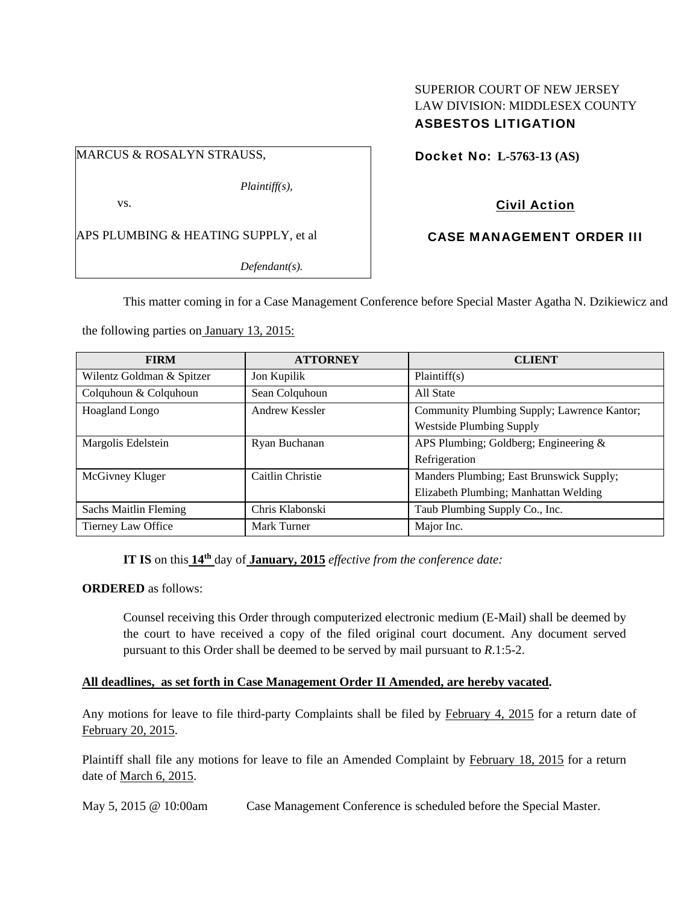### SUPERIOR COURT OF NEW JERSEY LAW DIVISION: MIDDLESEX COUNTY ASBESTOS LITIGATION

#### MARCUS & ROSALYN STRAUSS,

*Plaintiff(s),* 

vs.

APS PLUMBING & HEATING SUPPLY, et al

*Defendant(s).* 

# Docket No: **L-5763-13 (AS)**

## Civil Action

### CASE MANAGEMENT ORDER III

This matter coming in for a Case Management Conference before Special Master Agatha N. Dzikiewicz and

the following parties on January 13, 2015:

| <b>FIRM</b>               | <b>ATTORNEY</b>  | <b>CLIENT</b>                               |
|---------------------------|------------------|---------------------------------------------|
| Wilentz Goldman & Spitzer | Jon Kupilik      | Plaintiff(s)                                |
| Colquhoun & Colquhoun     | Sean Colquhoun   | All State                                   |
| <b>Hoagland Longo</b>     | Andrew Kessler   | Community Plumbing Supply; Lawrence Kantor; |
|                           |                  | <b>Westside Plumbing Supply</b>             |
| Margolis Edelstein        | Ryan Buchanan    | APS Plumbing; Goldberg; Engineering $\&$    |
|                           |                  | Refrigeration                               |
| McGivney Kluger           | Caitlin Christie | Manders Plumbing; East Brunswick Supply;    |
|                           |                  | Elizabeth Plumbing; Manhattan Welding       |
| Sachs Maitlin Fleming     | Chris Klabonski  | Taub Plumbing Supply Co., Inc.              |
| Tierney Law Office        | Mark Turner      | Major Inc.                                  |

## **IT IS** on this **14th** day of **January, 2015** *effective from the conference date:*

**ORDERED** as follows:

Counsel receiving this Order through computerized electronic medium (E-Mail) shall be deemed by the court to have received a copy of the filed original court document. Any document served pursuant to this Order shall be deemed to be served by mail pursuant to *R*.1:5-2.

#### **All deadlines, as set forth in Case Management Order II Amended, are hereby vacated.**

Any motions for leave to file third-party Complaints shall be filed by February 4, 2015 for a return date of February 20, 2015.

Plaintiff shall file any motions for leave to file an Amended Complaint by February 18, 2015 for a return date of March 6, 2015.

May 5, 2015 @ 10:00am Case Management Conference is scheduled before the Special Master.